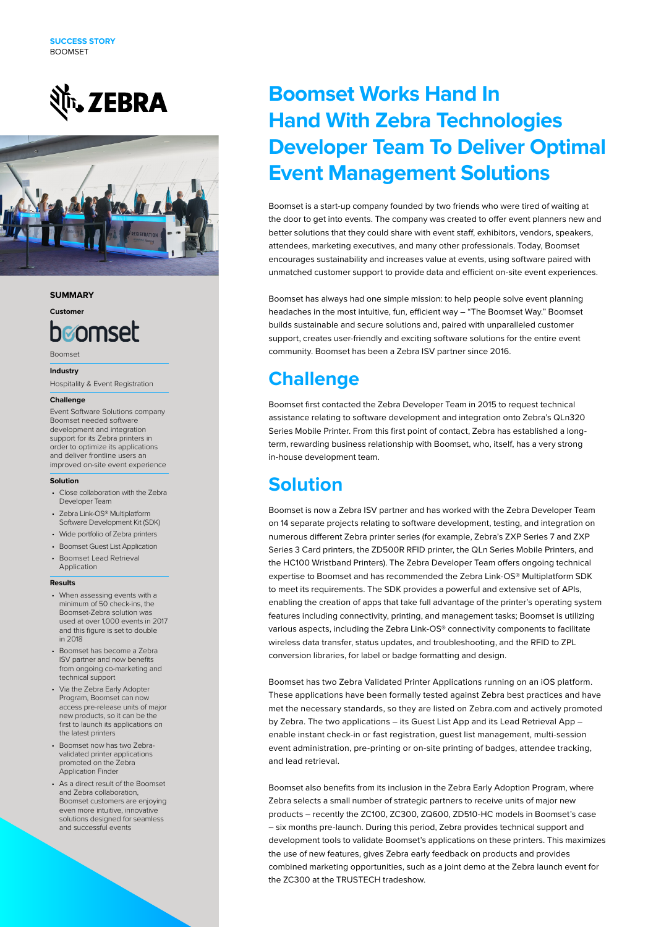# **Nr.** ZEBRA



#### **SUMMARY**

**Customer**

# <u>hønmset</u>

Boomset

#### **Industry**

Hospitality & Event Registration

### **Challenge**

Event Software Solutions company Boomset needed software development and integration support for its Zebra printers in order to optimize its applications and deliver frontline users an improved on-site event experience

#### **Solution**

- Close collaboration with the Zebra Developer Team
- Zebra Link-OS® Multiplatform Software Development Kit (SDK)
- Wide portfolio of Zebra printers
- Boomset Guest List Application
- Boomset Lead Retrieval
- Application

#### **Results**

- When assessing events with a minimum of 50 check-ins, the Boomset-Zebra solution was used at over 1,000 events in 2017 and this figure is set to double in 2018
- Boomset has become a Zebra ISV partner and now benefits from ongoing co-marketing and technical support
- Via the Zebra Early Adopter Program, Boomset can now access pre-release units of major new products, so it can be the first to launch its applications on the latest printers
- Boomset now has two Zebravalidated printer applications promoted on the Zebra Application Finder
- As a direct result of the Boomset and Zebra collaboration, Boomset customers are enjoying even more intuitive, innovative solutions designed for seamless and successful events

## **Boomset Works Hand In Hand With Zebra Technologies Developer Team To Deliver Optimal Event Management Solutions**

Boomset is a start-up company founded by two friends who were tired of waiting at the door to get into events. The company was created to offer event planners new and better solutions that they could share with event staff, exhibitors, vendors, speakers, attendees, marketing executives, and many other professionals. Today, Boomset encourages sustainability and increases value at events, using software paired with unmatched customer support to provide data and efficient on-site event experiences.

Boomset has always had one simple mission: to help people solve event planning headaches in the most intuitive, fun, efficient way – "The Boomset Way." Boomset builds sustainable and secure solutions and, paired with unparalleled customer support, creates user-friendly and exciting software solutions for the entire event community. Boomset has been a Zebra ISV partner since 2016.

### **Challenge**

Boomset first contacted the Zebra Developer Team in 2015 to request technical assistance relating to software development and integration onto Zebra's QLn320 Series Mobile Printer. From this first point of contact, Zebra has established a longterm, rewarding business relationship with Boomset, who, itself, has a very strong in-house development team.

### **Solution**

Boomset is now a Zebra ISV partner and has worked with the Zebra Developer Team on 14 separate projects relating to software development, testing, and integration on numerous different Zebra printer series (for example, Zebra's ZXP Series 7 and ZXP Series 3 Card printers, the ZD500R RFID printer, the QLn Series Mobile Printers, and the HC100 Wristband Printers). The Zebra Developer Team offers ongoing technical expertise to Boomset and has recommended the Zebra Link-OS® Multiplatform SDK to meet its requirements. The SDK provides a powerful and extensive set of APIs, enabling the creation of apps that take full advantage of the printer's operating system features including connectivity, printing, and management tasks; Boomset is utilizing various aspects, including the Zebra Link-OS® connectivity components to facilitate wireless data transfer, status updates, and troubleshooting, and the RFID to ZPL conversion libraries, for label or badge formatting and design.

Boomset has two Zebra Validated Printer Applications running on an iOS platform. These applications have been formally tested against Zebra best practices and have met the necessary standards, so they are listed on Zebra.com and actively promoted by Zebra. The two applications – its Guest List App and its Lead Retrieval App – enable instant check-in or fast registration, guest list management, multi-session event administration, pre-printing or on-site printing of badges, attendee tracking, and lead retrieval.

Boomset also benefits from its inclusion in the Zebra Early Adoption Program, where Zebra selects a small number of strategic partners to receive units of major new products – recently the ZC100, ZC300, ZQ600, ZD510-HC models in Boomset's case – six months pre-launch. During this period, Zebra provides technical support and development tools to validate Boomset's applications on these printers. This maximizes the use of new features, gives Zebra early feedback on products and provides combined marketing opportunities, such as a joint demo at the Zebra launch event for the ZC300 at the TRUSTECH tradeshow.